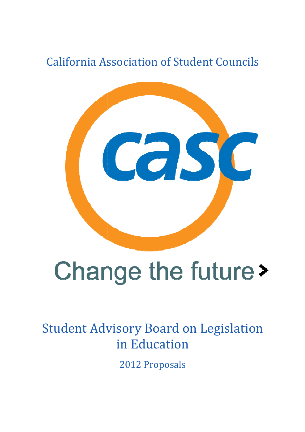California Association of Student Councils Association



# Change the future >

# Student Advisory Board on Legislation in Education

2012 Proposals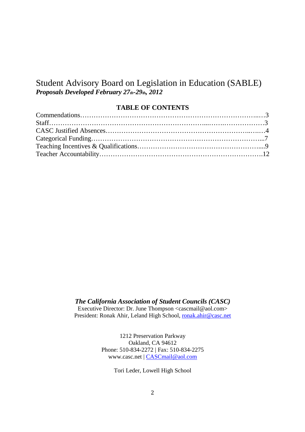# Student Advisory Board on Legislation in Education (SABLE) *Proposals Developed February 27th-29th, 2012*

# **TABLE OF CONTENTS**

*The California Association of Student Councils (CASC)* 

Executive Director: Dr. June Thompson <cascmail@aol.com> President: Ronak Ahir, Leland High School, ronak.ahir@casc.net

> 1212 Preservation Parkway Oakland, CA 94612 Phone: 510-834-2272 | Fax: 510-834-2275 www.casc.net | CASCmail@aol.com

> > Tori Leder, Lowell High School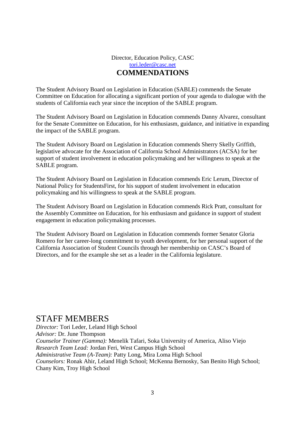# Director, Education Policy, CASC tori.leder@casc.net **COMMENDATIONS**

The Student Advisory Board on Legislation in Education (SABLE) commends the Senate Committee on Education for allocating a significant portion of your agenda to dialogue with the students of California each year since the inception of the SABLE program.

The Student Advisory Board on Legislation in Education commends Danny Alvarez, consultant for the Senate Committee on Education, for his enthusiasm, guidance, and initiative in expanding the impact of the SABLE program.

The Student Advisory Board on Legislation in Education commends Sherry Skelly Griffith, legislative advocate for the Association of California School Administrators (ACSA) for her support of student involvement in education policymaking and her willingness to speak at the SABLE program.

The Student Advisory Board on Legislation in Education commends Eric Lerum, Director of National Policy for StudentsFirst, for his support of student involvement in education policymaking and his willingness to speak at the SABLE program.

The Student Advisory Board on Legislation in Education commends Rick Pratt, consultant for the Assembly Committee on Education, for his enthusiasm and guidance in support of student engagement in education policymaking processes.

The Student Advisory Board on Legislation in Education commends former Senator Gloria Romero for her career-long commitment to youth development, for her personal support of the California Association of Student Councils through her membership on CASC's Board of Directors, and for the example she set as a leader in the California legislature.

# STAFF MEMBERS

*Director:* Tori Leder, Leland High School *Advisor:* Dr. June Thompson *Counselor Trainer (Gamma):* Menelik Tafari, Soka University of America, Aliso Viejo *Research Team Lead:* Jordan Feri, West Campus High School *Administrative Team (A-Team):* Patty Long, Mira Loma High School *Counselors:* Ronak Ahir, Leland High School; McKenna Bernosky, San Benito High School; Chany Kim, Troy High School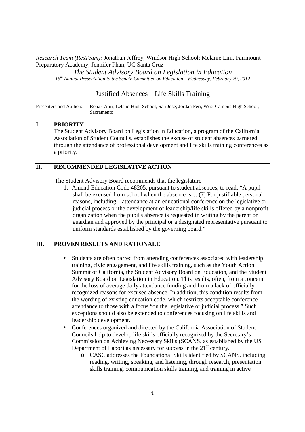*Research Team (ResTeam):* Jonathan Jeffrey, Windsor High School; Melanie Lim, Fairmount Preparatory Academy; Jennifer Phan, UC Santa Cruz

*The Student Advisory Board on Legislation in Education 15th Annual Presentation to the Senate Committee on Education - Wednesday, February 29, 2012* 

#### Justified Absences – Life Skills Training

Presenters and Authors: Ronak Ahir, Leland High School, San Jose; Jordan Feri, West Campus High School, Sacramento

#### **I. PRIORITY**

The Student Advisory Board on Legislation in Education, a program of the California Association of Student Councils, establishes the excuse of student absences garnered through the attendance of professional development and life skills training conferences as a priority.

# **II. RECOMMENDED LEGISLATIVE ACTION**

The Student Advisory Board recommends that the legislature

1. Amend Education Code 48205, pursuant to student absences, to read: "A pupil shall be excused from school when the absence is… (7) For justifiable personal reasons, including…attendance at an educational conference on the legislative or judicial process or the development of leadership/life skills offered by a nonprofit organization when the pupil's absence is requested in writing by the parent or guardian and approved by the principal or a designated representative pursuant to uniform standards established by the governing board."

#### **III. PROVEN RESULTS AND RATIONALE**

- Students are often barred from attending conferences associated with leadership training, civic engagement, and life skills training, such as the Youth Action Summit of California, the Student Advisory Board on Education, and the Student Advisory Board on Legislation in Education. This results, often, from a concern for the loss of average daily attendance funding and from a lack of officially recognized reasons for excused absence. In addition, this condition results from the wording of existing education code, which restricts acceptable conference attendance to those with a focus "on the legislative or judicial process." Such exceptions should also be extended to conferences focusing on life skills and leadership development.
- Conferences organized and directed by the California Association of Student Councils help to develop life skills officially recognized by the Secretary's Commission on Achieving Necessary Skills (SCANS, as established by the US Department of Labor) as necessary for success in the  $21<sup>st</sup>$  century.
	- o CASC addresses the Foundational Skills identified by SCANS, including reading, writing, speaking, and listening, through research, presentation skills training, communication skills training, and training in active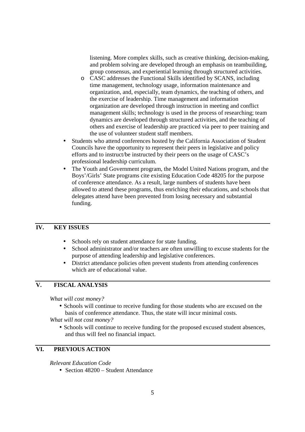listening. More complex skills, such as creative thinking, decision-making, and problem solving are developed through an emphasis on teambuilding, group consensus, and experiential learning through structured activities.

- o CASC addresses the Functional Skills identified by SCANS, including time management, technology usage, information maintenance and organization, and, especially, team dynamics, the teaching of others, and the exercise of leadership. Time management and information organization are developed through instruction in meeting and conflict management skills; technology is used in the process of researching; team dynamics are developed through structured activities, and the teaching of others and exercise of leadership are practiced via peer to peer training and the use of volunteer student staff members.
- Students who attend conferences hosted by the California Association of Student Councils have the opportunity to represent their peers in legislative and policy efforts and to instruct/be instructed by their peers on the usage of CASC's professional leadership curriculum.
- The Youth and Government program, the Model United Nations program, and the Boys'/Girls' State programs cite existing Education Code 48205 for the purpose of conference attendance. As a result, large numbers of students have been allowed to attend these programs, thus enriching their educations, and schools that delegates attend have been prevented from losing necessary and substantial funding.

# **IV. KEY ISSUES**

- Schools rely on student attendance for state funding.
- School administrator and/or teachers are often unwilling to excuse students for the purpose of attending leadership and legislative conferences.
- District attendance policies often prevent students from attending conferences which are of educational value.

# **V. FISCAL ANALYSIS**

 *What will cost money?* 

• Schools will continue to receive funding for those students who are excused on the basis of conference attendance. Thus, the state will incur minimal costs.

 *What will not cost money?* 

• Schools will continue to receive funding for the proposed excused student absences, and thus will feel no financial impact.

# **VI. PREVIOUS ACTION**

 *Relevant Education Code* 

• Section 48200 – Student Attendance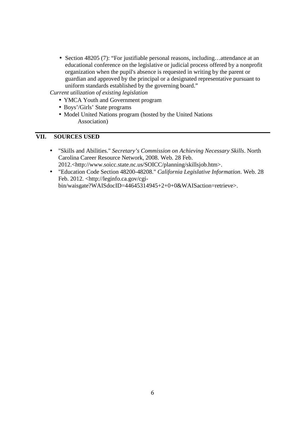• Section 48205 (7): "For justifiable personal reasons, including...attendance at an educational conference on the legislative or judicial process offered by a nonprofit organization when the pupil's absence is requested in writing by the parent or guardian and approved by the principal or a designated representative pursuant to uniform standards established by the governing board."

*Current utilization of existing legislation* 

- YMCA Youth and Government program
- Boys'/Girls' State programs
- Model United Nations program (hosted by the United Nations Association)

#### **VII. SOURCES USED**

- "Skills and Abilities." *Secretary's Commission on Achieving Necessary Skills*. North Carolina Career Resource Network, 2008. Web. 28 Feb. 2012.<http://www.soicc.state.nc.us/SOICC/planning/skillsjob.htm>.
- "Education Code Section 48200-48208." *California Legislative Information*. Web. 28 Feb. 2012. <http://leginfo.ca.gov/cgibin/waisgate?WAISdocID=44645314945+2+0+0&WAISaction=retrieve>.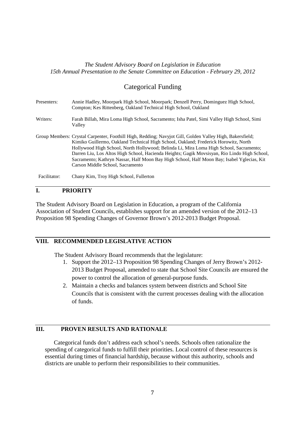#### *The Student Advisory Board on Legislation in Education 15th Annual Presentation to the Senate Committee on Education - February 29, 2012*

# Categorical Funding

| Presenters:  | Annie Hadley, Moorpark High School, Moorpark; Denzell Perry, Dominguez High School,<br>Compton; Kes Rittenberg, Oakland Technical High School, Oakland                                                                                                                                                                                                                                                                                                                                                                      |
|--------------|-----------------------------------------------------------------------------------------------------------------------------------------------------------------------------------------------------------------------------------------------------------------------------------------------------------------------------------------------------------------------------------------------------------------------------------------------------------------------------------------------------------------------------|
| Writers:     | Farah Billah, Mira Loma High School, Sacramento; Isha Patel, Simi Valley High School, Simi<br>Valley                                                                                                                                                                                                                                                                                                                                                                                                                        |
|              | Group Members: Crystal Carpenter, Foothill High, Redding; Navyjot Gill, Golden Valley High, Bakersfield;<br>Kimiko Guillermo, Oakland Technical High School, Oakland; Frederick Horowitz, North<br>Hollywood High School, North Hollywood; Belinda Li, Mira Loma High School, Sacramento;<br>Darren Liu, Los Altos High School, Hacienda Heights; Gagik Movsisyan, Rio Lindo High School,<br>Sacramento; Kathryn Nassar, Half Moon Bay High School, Half Moon Bay; Isabel Yglecias, Kit<br>Carson Middle School, Sacramento |
| Facilitator: | Chany Kim, Troy High School, Fullerton                                                                                                                                                                                                                                                                                                                                                                                                                                                                                      |

# **I. PRIORITY**

The Student Advisory Board on Legislation in Education, a program of the California Association of Student Councils, establishes support for an amended version of the 2012–13 Proposition 98 Spending Changes of Governor Brown's 2012-2013 Budget Proposal.

# **VIII. RECOMMENDED LEGISLATIVE ACTION**

The Student Advisory Board recommends that the legislature:

- 1. Support the 2012–13 Proposition 98 Spending Changes of Jerry Brown's 2012- 2013 Budget Proposal, amended to state that School Site Councils are ensured the power to control the allocation of general-purpose funds.
- 2. Maintain a checks and balances system between districts and School Site Councils that is consistent with the current processes dealing with the allocation of funds.

#### **III. PROVEN RESULTS AND RATIONALE**

Categorical funds don't address each school's needs. Schools often rationalize the spending of categorical funds to fulfill their priorities. Local control of these resources is essential during times of financial hardship, because without this authority, schools and districts are unable to perform their responsibilities to their communities.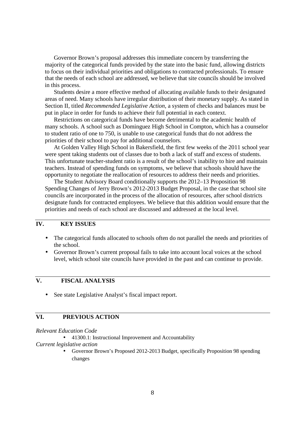Governor Brown's proposal addresses this immediate concern by transferring the majority of the categorical funds provided by the state into the basic fund, allowing districts to focus on their individual priorities and obligations to contracted professionals. To ensure that the needs of each school are addressed, we believe that site councils should be involved in this process.

Students desire a more effective method of allocating available funds to their designated areas of need. Many schools have irregular distribution of their monetary supply. As stated in Section II, titled *Recommended Legislative Action*, a system of checks and balances must be put in place in order for funds to achieve their full potential in each context.

Restrictions on categorical funds have become detrimental to the academic health of many schools. A school such as Dominguez High School in Compton, which has a counselor to student ratio of one to 750, is unable to use categorical funds that do not address the priorities of their school to pay for additional counselors.

At Golden Valley High School in Bakersfield, the first few weeks of the 2011 school year were spent taking students out of classes due to both a lack of staff and excess of students. This unfortunate teacher-student ratio is a result of the school's inability to hire and maintain teachers. Instead of spending funds on symptoms, we believe that schools should have the opportunity to negotiate the reallocation of resources to address their needs and priorities.

The Student Advisory Board conditionally supports the 2012–13 Proposition 98 Spending Changes of Jerry Brown's 2012-2013 Budget Proposal, in the case that school site councils are incorporated in the process of the allocation of resources, after school districts designate funds for contracted employees. We believe that this addition would ensure that the priorities and needs of each school are discussed and addressed at the local level.

# **IV. KEY ISSUES**

- The categorical funds allocated to schools often do not parallel the needs and priorities of the school.
- Governor Brown's current proposal fails to take into account local voices at the school level, which school site councils have provided in the past and can continue to provide.

# **V. FISCAL ANALYSIS**

• See state Legislative Analyst's fiscal impact report.

#### **VI. PREVIOUS ACTION**

#### *Relevant Education Code*

• 41300.1: Instructional Improvement and Accountability

#### *Current legislative action*

• Governor Brown's Proposed 2012-2013 Budget, specifically Proposition 98 spending changes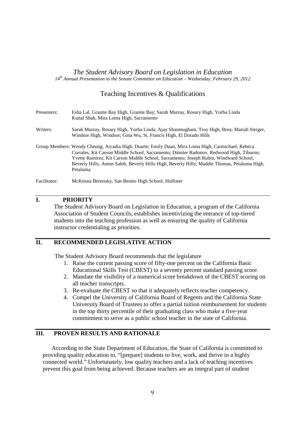#### *The Student Advisory Board on Legislation in Education 14th Annual Presentation to the Senate Committee on Education – Wednesday, February 29, 2012*

# Teaching Incentives & Qualifications

| Presenters:  | Esha Lal, Granite Bay High, Granite Bay; Sarah Murray, Rosary High, Yorba Linda<br>Kunal Shah, Mira Loma High, Sacramento                                                                                                                                                                                                                                                                        |
|--------------|--------------------------------------------------------------------------------------------------------------------------------------------------------------------------------------------------------------------------------------------------------------------------------------------------------------------------------------------------------------------------------------------------|
| Writers:     | Sarah Murray, Rosary High, Yorba Linda; Ajay Shanmugham, Troy High, Brea; Mariah Steiger,<br>Windsor High, Windsor; Gina Wu, St. Francis High, El Dorado Hills                                                                                                                                                                                                                                   |
|              | Group Members: Wendy Cheung, Arcadia High, Duarte; Emily Duan, Mira Loma High, Carmichael; Rebeca<br>Corrales, Kit Carson Middle School, Sacramento; Dimiter Radonov, Redwood High, Tiburon;<br>Yvette Ramirez, Kit Carson Middle School, Sacramento; Joseph Rubin, Windward School,<br>Beverly Hills; Anton Saleh, Beverly Hills High, Beverly Hills; Maddie Thomas, Petaluma High,<br>Petaluma |
| Facilitator: | McKenna Bernosky, San Benito High School, Hollister                                                                                                                                                                                                                                                                                                                                              |

# **I. PRIORITY**

The Student Advisory Board on Legislation in Education, a program of the California Association of Student Councils, establishes incentivizing the entrance of top-tiered students into the teaching profession as well as ensuring the quality of California instructor credentialing as priorities.

# **II. RECOMMENDED LEGISLATIVE ACTION**

The Student Advisory Board recommends that the legislature

- 1. Raise the current passing score of fifty-one percent on the California Basic Educational Skills Test (CBEST) to a seventy percent standard passing score.
- 2. Mandate the visibility of a numerical score breakdown of the CBEST scoring on all teacher transcripts.
- 3. Re-evaluate the CBEST so that it adequately reflects teacher competency.
- 4. Compel the University of California Board of Regents and the California State University Board of Trustees to offer a partial tuition reimbursement for students in the top thirty percentile of their graduating class who make a five-year commitment to serve as a public school teacher in the state of California.

## **III. PROVEN RESULTS AND RATIONALE**

According to the State Department of Education, the State of California is committed to providing quality education to, "[prepare] students to live, work, and thrive in a highly connected world." Unfortunately, low quality teachers and a lack of teaching incentives prevent this goal from being achieved. Because teachers are an integral part of student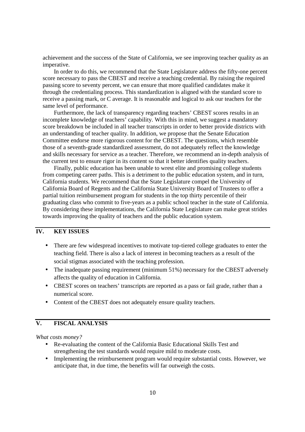achievement and the success of the State of California, we see improving teacher quality as an imperative.

In order to do this, we recommend that the State Legislature address the fifty-one percent score necessary to pass the CBEST and receive a teaching credential. By raising the required passing score to seventy percent, we can ensure that more qualified candidates make it through the credentialing process. This standardization is aligned with the standard score to receive a passing mark, or C average. It is reasonable and logical to ask our teachers for the same level of performance.

Furthermore, the lack of transparency regarding teachers' CBEST scores results in an incomplete knowledge of teachers' capability. With this in mind, we suggest a mandatory score breakdown be included in all teacher transcripts in order to better provide districts with an understanding of teacher quality. In addition, we propose that the Senate Education Committee endorse more rigorous content for the CBEST. The questions, which resemble those of a seventh-grade standardized assessment, do not adequately reflect the knowledge and skills necessary for service as a teacher. Therefore, we recommend an in-depth analysis of the current test to ensure rigor in its content so that it better identifies quality teachers.

Finally, public education has been unable to wrest elite and promising college students from competing career paths. This is a detriment to the public education system, and in turn, California students. We recommend that the State Legislature compel the University of California Board of Regents and the California State University Board of Trustees to offer a partial tuition reimbursement program for students in the top thirty percentile of their graduating class who commit to five-years as a public school teacher in the state of California. By considering these implementations, the California State Legislature can make great strides towards improving the quality of teachers and the public education system.

#### **IV. KEY ISSUES**

- There are few widespread incentives to motivate top-tiered college graduates to enter the teaching field. There is also a lack of interest in becoming teachers as a result of the social stigmas associated with the teaching profession.
- The inadequate passing requirement (minimum 51%) necessary for the CBEST adversely affects the quality of education in California.
- CBEST scores on teachers' transcripts are reported as a pass or fail grade, rather than a numerical score.
- Content of the CBEST does not adequately ensure quality teachers.

# **V. FISCAL ANALYSIS**

*What costs money?* 

- Re-evaluating the content of the California Basic Educational Skills Test and strengthening the test standards would require mild to moderate costs.
- Implementing the reimbursement program would require substantial costs. However, we anticipate that, in due time, the benefits will far outweigh the costs.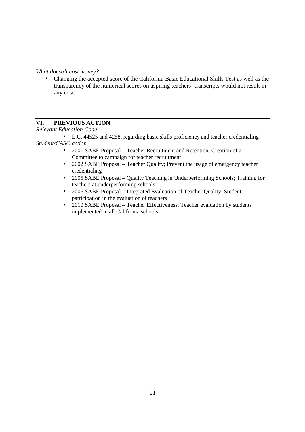*What doesn't cost money?* 

• Changing the accepted score of the California Basic Educational Skills Test as well as the transparency of the numerical scores on aspiring teachers' transcripts would not result in any cost.

# **VI. PREVIOUS ACTION**

*Relevant Education Code* 

• E.C. 44525 and 4258, regarding basic skills proficiency and teacher credentialing *Student/CASC action* 

- 2001 SABE Proposal Teacher Recruitment and Retention; Creation of a Committee to campaign for teacher recruitment
- 2002 SABE Proposal Teacher Quality; Prevent the usage of emergency teacher credentialing
- 2005 SABE Proposal Quality Teaching in Underperforming Schools; Training for teachers at underperforming schools
- 2006 SABE Proposal Integrated Evaluation of Teacher Quality; Student participation in the evaluation of teachers
- 2010 SABE Proposal Teacher Effectiveness; Teacher evaluation by students implemented in all California schools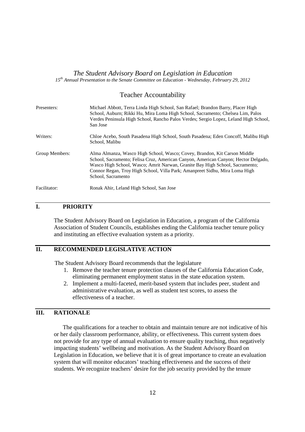#### *The Student Advisory Board on Legislation in Education 15th Annual Presentation to the Senate Committee on Education - Wednesday, February 29, 2012*

#### Teacher Accountability

| Presenters:    | Michael Abbott, Terra Linda High School, San Rafael; Brandon Barry, Placer High<br>School, Auburn; Rikki Hu, Mira Loma High School, Sacramento; Chelsea Lim, Palos<br>Verdes Peninsula High School, Rancho Palos Verdes; Sergio Lopez, Leland High School,<br>San Jose                                                                               |
|----------------|------------------------------------------------------------------------------------------------------------------------------------------------------------------------------------------------------------------------------------------------------------------------------------------------------------------------------------------------------|
| Writers:       | Chloe Acebo, South Pasadena High School, South Pasadena; Eden Concoff, Malibu High<br>School, Malibu                                                                                                                                                                                                                                                 |
| Group Members: | Alma Almanza, Wasco High School, Wasco; Covey, Brandon, Kit Carson Middle<br>School, Sacramento; Felisa Cruz, American Canyon, American Canyon; Hector Delgado,<br>Wasco High School, Wasco; Amrit Narwan, Granite Bay High School, Sacramento;<br>Connor Regan, Troy High School, Villa Park; Amanpreet Sidhu, Mira Loma High<br>School, Sacramento |
| Facilitator:   | Ronak Ahir, Leland High School, San Jose                                                                                                                                                                                                                                                                                                             |

# **I. PRIORITY**

The Student Advisory Board on Legislation in Education, a program of the California Association of Student Councils, establishes ending the California teacher tenure policy and instituting an effective evaluation system as a priority.

#### **II. RECOMMENDED LEGISLATIVE ACTION**

The Student Advisory Board recommends that the legislature

- 1. Remove the teacher tenure protection clauses of the California Education Code, eliminating permanent employment status in the state education system.
- 2. Implement a multi-faceted, merit-based system that includes peer, student and administrative evaluation, as well as student test scores, to assess the effectiveness of a teacher.

# **III. RATIONALE**

The qualifications for a teacher to obtain and maintain tenure are not indicative of his or her daily classroom performance, ability, or effectiveness. This current system does not provide for any type of annual evaluation to ensure quality teaching, thus negatively impacting students' wellbeing and motivation. As the Student Advisory Board on Legislation in Education, we believe that it is of great importance to create an evaluation system that will monitor educators' teaching effectiveness and the success of their students. We recognize teachers' desire for the job security provided by the tenure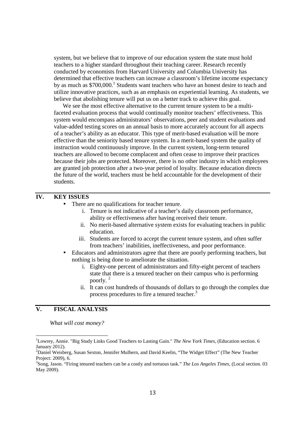system, but we believe that to improve of our education system the state must hold teachers to a higher standard throughout their teaching career. Research recently conducted by economists from Harvard University and Columbia University has determined that effective teachers can increase a classroom's lifetime income expectancy by as much as  $$700,000$ .<sup>1</sup> Students want teachers who have an honest desire to teach and utilize innovative practices, such as an emphasis on experiential learning. As students, we believe that abolishing tenure will put us on a better track to achieve this goal.

We see the most effective alternative to the current tenure system to be a multifaceted evaluation process that would continually monitor teachers' effectiveness. This system would encompass administrators' observations, peer and student evaluations and value-added testing scores on an annual basis to more accurately account for all aspects of a teacher's ability as an educator. This type of merit-based evaluation will be more effective than the seniority based tenure system. In a merit-based system the quality of instruction would continuously improve. In the current system, long-term tenured teachers are allowed to become complacent and often cease to improve their practices because their jobs are protected. Moreover, there is no other industry in which employees are granted job protection after a two-year period of loyalty. Because education directs the future of the world, teachers must be held accountable for the development of their students.

# **IV. KEY ISSUES**

- There are no qualifications for teacher tenure.
	- i. Tenure is not indicative of a teacher's daily classroom performance, ability or effectiveness after having received their tenure.
	- ii. No merit-based alternative system exists for evaluating teachers in public education.
	- iii. Students are forced to accept the current tenure system, and often suffer from teachers' inabilities, ineffectiveness, and poor performance.
- Educators and administrators agree that there are poorly performing teachers, but nothing is being done to ameliorate the situation.
	- i. Eighty-one percent of administrators and fifty-eight percent of teachers state that there is a tenured teacher on their campus who is performing poorly. <sup>2</sup>
	- ii. It can cost hundreds of thousands of dollars to go through the complex due process procedures to fire a tenured teacher.<sup>3</sup>

#### **V. FISCAL ANALYSIS**

 $\overline{\phantom{a}}$ 

 *What will cost money?* 

<sup>1</sup>Lowrey, Annie. "Big Study Links Good Teachers to Lasting Gain." *The New York Times,* (Education section. 6 January 2012).

<sup>&</sup>lt;sup>2</sup>Daniel Weisberg, Susan Sexton, Jennifer Mulhern, and David Keelin, "The Widget Effect" (The New Teacher Project: 2009), 6.

<sup>3</sup> Song, Jason. "Firing tenured teachers can be a costly and tortuous task." *The Los Angeles Times,* (Local section. 03 May 2009).